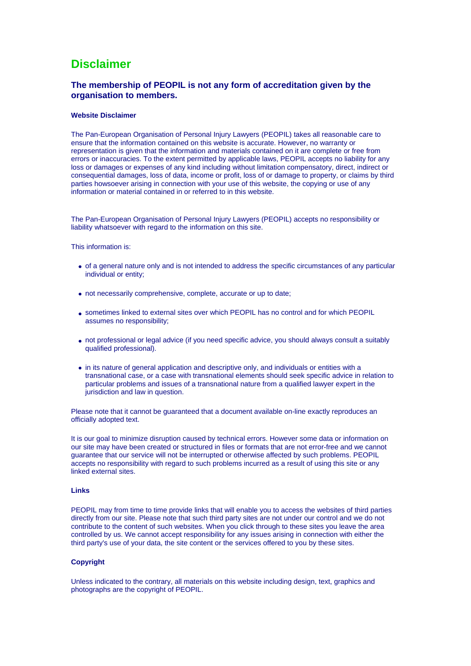# **Disclaimer**

# **The membership of PEOPIL is not any form of accreditation given by the organisation to members.**

#### **Website Disclaimer**

The Pan-European Organisation of Personal Injury Lawyers (PEOPIL) takes all reasonable care to ensure that the information contained on this website is accurate. However, no warranty or representation is given that the information and materials contained on it are complete or free from errors or inaccuracies. To the extent permitted by applicable laws, PEOPIL accepts no liability for any loss or damages or expenses of any kind including without limitation compensatory, direct, indirect or consequential damages, loss of data, income or profit, loss of or damage to property, or claims by third parties howsoever arising in connection with your use of this website, the copying or use of any information or material contained in or referred to in this website.

The Pan-European Organisation of Personal Injury Lawyers (PEOPIL) accepts no responsibility or liability whatsoever with regard to the information on this site.

This information is:

- of a general nature only and is not intended to address the specific circumstances of any particular individual or entity;
- not necessarily comprehensive, complete, accurate or up to date;
- sometimes linked to external sites over which PEOPIL has no control and for which PEOPIL assumes no responsibility;
- not professional or legal advice (if you need specific advice, you should always consult a suitably qualified professional).
- in its nature of general application and descriptive only, and individuals or entities with a transnational case, or a case with transnational elements should seek specific advice in relation to particular problems and issues of a transnational nature from a qualified lawyer expert in the jurisdiction and law in question.

Please note that it cannot be guaranteed that a document available on-line exactly reproduces an officially adopted text.

It is our goal to minimize disruption caused by technical errors. However some data or information on our site may have been created or structured in files or formats that are not error-free and we cannot guarantee that our service will not be interrupted or otherwise affected by such problems. PEOPIL accepts no responsibility with regard to such problems incurred as a result of using this site or any linked external sites.

### **Links**

PEOPIL may from time to time provide links that will enable you to access the websites of third parties directly from our site. Please note that such third party sites are not under our control and we do not contribute to the content of such websites. When you click through to these sites you leave the area controlled by us. We cannot accept responsibility for any issues arising in connection with either the third party's use of your data, the site content or the services offered to you by these sites.

## **Copyright**

Unless indicated to the contrary, all materials on this website including design, text, graphics and photographs are the copyright of PEOPIL.